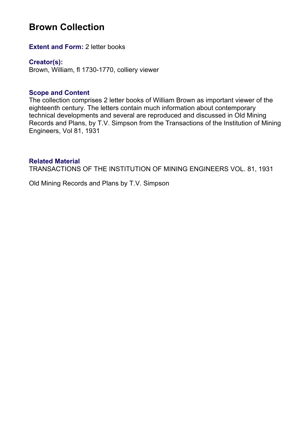# **Brown Collection**

**Extent and Form: 2 letter books** 

**Creator(s):**  Brown, William, fl 1730-1770, colliery viewer

#### **Scope and Content**

The collection comprises 2 letter books of William Brown as important viewer of the eighteenth century. The letters contain much information about contemporary technical developments and several are reproduced and discussed in Old Mining Records and Plans, by T.V. Simpson from the Transactions of the Institution of Mining Engineers, Vol 81, 1931

#### **Related Material**

TRANSACTIONS OF THE INSTITUTION OF MINING ENGINEERS VOL. 81, 1931

Old Mining Records and Plans by T.V. Simpson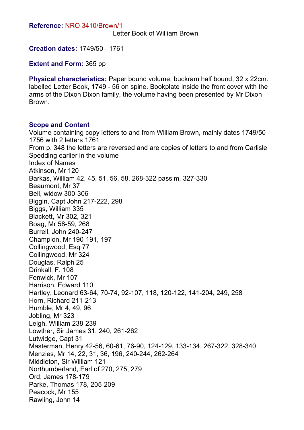Letter Book of William Brown

**Creation dates:** 1749/50 - 1761

**Extent and Form:** 365 pp

**Physical characteristics:** Paper bound volume, buckram half bound, 32 x 22cm. labelled Letter Book, 1749 - 56 on spine. Bookplate inside the front cover with the arms of the Dixon Dixon family, the volume having been presented by Mr Dixon Brown.

#### **Scope and Content**

Volume containing copy letters to and from William Brown, mainly dates 1749/50 - 1756 with 2 letters 1761 From p. 348 the letters are reversed and are copies of letters to and from Carlisle Spedding earlier in the volume Index of Names Atkinson, Mr 120 Barkas, William 42, 45, 51, 56, 58, 268-322 passim, 327-330 Beaumont, Mr 37 Bell, widow 300-306 Biggin, Capt John 217-222, 298 Biggs, William 335 Blackett, Mr 302, 321 Boag, Mr 58-59, 268 Burrell, John 240-247 Champion, Mr 190-191, 197 Collingwood, Esq 77 Collingwood, Mr 324 Douglas, Ralph 25 Drinkall, F. 108 Fenwick, Mr 107 Harrison, Edward 110 Hartley, Leonard 63-64, 70-74, 92-107, 118, 120-122, 141-204, 249, 258 Horn, Richard 211-213 Humble, Mr 4, 49, 96 Jobling, Mr 323 Leigh, William 238-239 Lowther, Sir James 31, 240, 261-262 Lutwidge, Capt 31 Masterman, Henry 42-56, 60-61, 76-90, 124-129, 133-134, 267-322, 328-340 Menzies, Mr 14, 22, 31, 36, 196, 240-244, 262-264 Middleton, Sir William 121 Northumberland, Earl of 270, 275, 279 Ord, James 178-179 Parke, Thomas 178, 205-209 Peacock, Mr 155 Rawling, John 14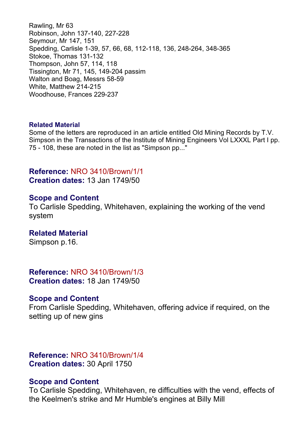Rawling, Mr 63 Robinson, John 137-140, 227-228 Seymour, Mr 147, 151 Spedding, Carlisle 1-39, 57, 66, 68, 112-118, 136, 248-264, 348-365 Stokoe, Thomas 131-132 Thompson, John 57, 114, 118 Tissington, Mr 71, 145, 149-204 passim Walton and Boag, Messrs 58-59 White, Matthew 214-215 Woodhouse, Frances 229-237

#### **Related Material**

Some of the letters are reproduced in an article entitled Old Mining Records by T.V. Simpson in the Transactions of the Institute of Mining Engineers Vol LXXXL Part I pp. 75 - 108, these are noted in the list as "Simpson pp..."

## **Reference:** NRO 3410/Brown/1/1 **Creation dates:** 13 Jan 1749/50

#### **Scope and Content**

To Carlisle Spedding, Whitehaven, explaining the working of the vend system

#### **Related Material**

Simpson p.16.

#### **Reference:** NRO 3410/Brown/1/3 **Creation dates:** 18 Jan 1749/50

#### **Scope and Content**

From Carlisle Spedding, Whitehaven, offering advice if required, on the setting up of new gins

# **Reference:** NRO 3410/Brown/1/4 **Creation dates:** 30 April 1750

#### **Scope and Content**

To Carlisle Spedding, Whitehaven, re difficulties with the vend, effects of the Keelmen's strike and Mr Humble's engines at Billy Mill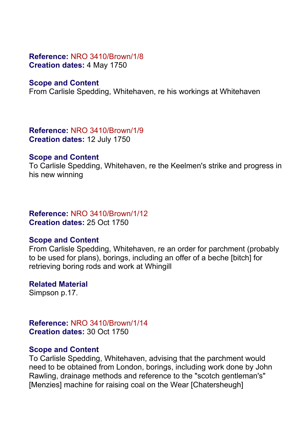## **Reference:** NRO 3410/Brown/1/8 **Creation dates:** 4 May 1750

# **Scope and Content**

From Carlisle Spedding, Whitehaven, re his workings at Whitehaven

**Reference:** NRO 3410/Brown/1/9 **Creation dates:** 12 July 1750

## **Scope and Content**

To Carlisle Spedding, Whitehaven, re the Keelmen's strike and progress in his new winning

# **Reference:** NRO 3410/Brown/1/12 **Creation dates:** 25 Oct 1750

# **Scope and Content**

From Carlisle Spedding, Whitehaven, re an order for parchment (probably to be used for plans), borings, including an offer of a beche [bitch] for retrieving boring rods and work at Whingill

**Related Material** Simpson p.17.

**Reference:** NRO 3410/Brown/1/14 **Creation dates:** 30 Oct 1750

## **Scope and Content**

To Carlisle Spedding, Whitehaven, advising that the parchment would need to be obtained from London, borings, including work done by John Rawling, drainage methods and reference to the "scotch gentleman's" [Menzies] machine for raising coal on the Wear [Chatersheugh]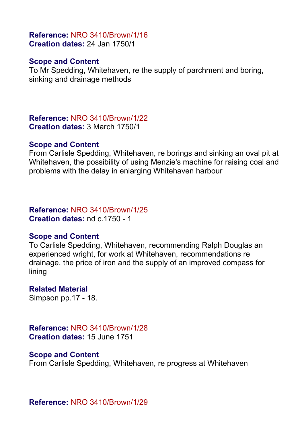# **Reference:** NRO 3410/Brown/1/16 **Creation dates:** 24 Jan 1750/1

## **Scope and Content**

To Mr Spedding, Whitehaven, re the supply of parchment and boring, sinking and drainage methods

**Reference:** NRO 3410/Brown/1/22 **Creation dates:** 3 March 1750/1

#### **Scope and Content**

From Carlisle Spedding, Whitehaven, re borings and sinking an oval pit at Whitehaven, the possibility of using Menzie's machine for raising coal and problems with the delay in enlarging Whitehaven harbour

## **Reference:** NRO 3410/Brown/1/25 **Creation dates:** nd c.1750 - 1

## **Scope and Content**

To Carlisle Spedding, Whitehaven, recommending Ralph Douglas an experienced wright, for work at Whitehaven, recommendations re drainage, the price of iron and the supply of an improved compass for lining

# **Related Material**

Simpson pp.17 - 18.

# **Reference:** NRO 3410/Brown/1/28 **Creation dates:** 15 June 1751

## **Scope and Content**

From Carlisle Spedding, Whitehaven, re progress at Whitehaven

**Reference:** NRO 3410/Brown/1/29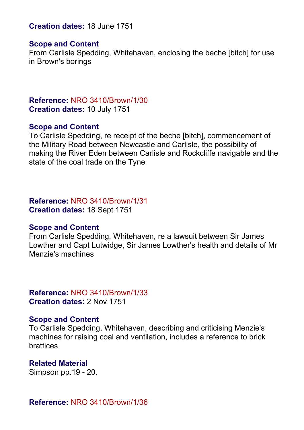## **Creation dates:** 18 June 1751

#### **Scope and Content**

From Carlisle Spedding, Whitehaven, enclosing the beche [bitch] for use in Brown's borings

# **Reference:** NRO 3410/Brown/1/30 **Creation dates:** 10 July 1751

#### **Scope and Content**

To Carlisle Spedding, re receipt of the beche [bitch], commencement of the Military Road between Newcastle and Carlisle, the possibility of making the River Eden between Carlisle and Rockcliffe navigable and the state of the coal trade on the Tyne

#### **Reference:** NRO 3410/Brown/1/31 **Creation dates:** 18 Sept 1751

#### **Scope and Content**

From Carlisle Spedding, Whitehaven, re a lawsuit between Sir James Lowther and Capt Lutwidge, Sir James Lowther's health and details of Mr Menzie's machines

# **Reference:** NRO 3410/Brown/1/33 **Creation dates:** 2 Nov 1751

#### **Scope and Content**

To Carlisle Spedding, Whitehaven, describing and criticising Menzie's machines for raising coal and ventilation, includes a reference to brick brattices

#### **Related Material**

Simpson pp.19 - 20.

**Reference:** NRO 3410/Brown/1/36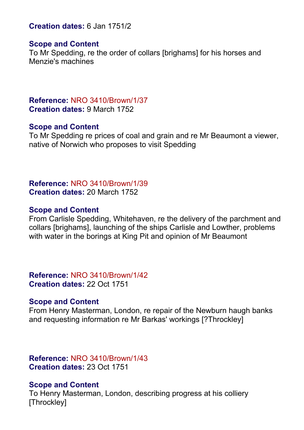**Creation dates:** 6 Jan 1751/2

## **Scope and Content**

To Mr Spedding, re the order of collars [brighams] for his horses and Menzie's machines

**Reference:** NRO 3410/Brown/1/37 **Creation dates:** 9 March 1752

## **Scope and Content**

To Mr Spedding re prices of coal and grain and re Mr Beaumont a viewer, native of Norwich who proposes to visit Spedding

**Reference:** NRO 3410/Brown/1/39 **Creation dates:** 20 March 1752

# **Scope and Content**

From Carlisle Spedding, Whitehaven, re the delivery of the parchment and collars [brighams], launching of the ships Carlisle and Lowther, problems with water in the borings at King Pit and opinion of Mr Beaumont

**Reference:** NRO 3410/Brown/1/42 **Creation dates:** 22 Oct 1751

# **Scope and Content**

From Henry Masterman, London, re repair of the Newburn haugh banks and requesting information re Mr Barkas' workings [?Throckley]

**Reference:** NRO 3410/Brown/1/43 **Creation dates:** 23 Oct 1751

# **Scope and Content**

To Henry Masterman, London, describing progress at his colliery [Throckley]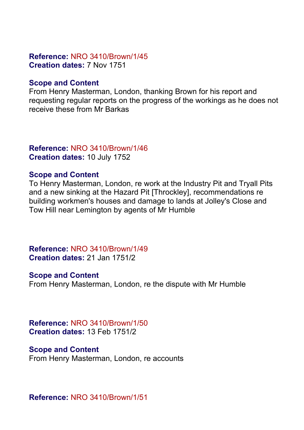# **Reference:** NRO 3410/Brown/1/45 **Creation dates:** 7 Nov 1751

# **Scope and Content**

From Henry Masterman, London, thanking Brown for his report and requesting regular reports on the progress of the workings as he does not receive these from Mr Barkas

# **Reference:** NRO 3410/Brown/1/46 **Creation dates:** 10 July 1752

# **Scope and Content**

To Henry Masterman, London, re work at the Industry Pit and Tryall Pits and a new sinking at the Hazard Pit [Throckley], recommendations re building workmen's houses and damage to lands at Jolley's Close and Tow Hill near Lemington by agents of Mr Humble

**Reference:** NRO 3410/Brown/1/49 **Creation dates:** 21 Jan 1751/2

# **Scope and Content**

From Henry Masterman, London, re the dispute with Mr Humble

**Reference:** NRO 3410/Brown/1/50 **Creation dates:** 13 Feb 1751/2

## **Scope and Content**

From Henry Masterman, London, re accounts

**Reference:** NRO 3410/Brown/1/51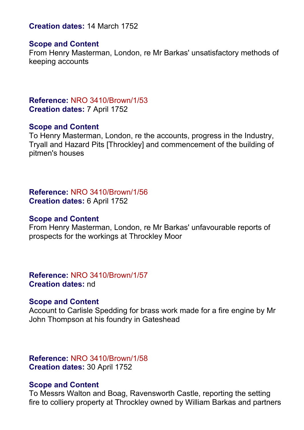**Creation dates:** 14 March 1752

## **Scope and Content**

From Henry Masterman, London, re Mr Barkas' unsatisfactory methods of keeping accounts

# **Reference:** NRO 3410/Brown/1/53 **Creation dates:** 7 April 1752

## **Scope and Content**

To Henry Masterman, London, re the accounts, progress in the Industry, Tryall and Hazard Pits [Throckley] and commencement of the building of pitmen's houses

**Reference:** NRO 3410/Brown/1/56 **Creation dates:** 6 April 1752

## **Scope and Content**

From Henry Masterman, London, re Mr Barkas' unfavourable reports of prospects for the workings at Throckley Moor

**Reference:** NRO 3410/Brown/1/57 **Creation dates:** nd

## **Scope and Content**

Account to Carlisle Spedding for brass work made for a fire engine by Mr John Thompson at his foundry in Gateshead

**Reference:** NRO 3410/Brown/1/58 **Creation dates:** 30 April 1752

## **Scope and Content**

To Messrs Walton and Boag, Ravensworth Castle, reporting the setting fire to colliery property at Throckley owned by William Barkas and partners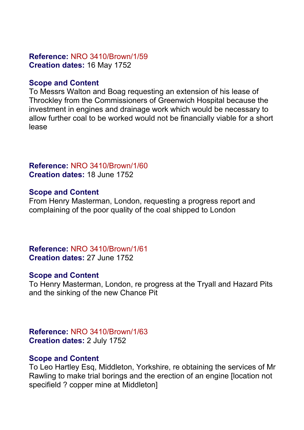# **Reference:** NRO 3410/Brown/1/59 **Creation dates:** 16 May 1752

# **Scope and Content**

To Messrs Walton and Boag requesting an extension of his lease of Throckley from the Commissioners of Greenwich Hospital because the investment in engines and drainage work which would be necessary to allow further coal to be worked would not be financially viable for a short lease

# **Reference:** NRO 3410/Brown/1/60 **Creation dates:** 18 June 1752

# **Scope and Content**

From Henry Masterman, London, requesting a progress report and complaining of the poor quality of the coal shipped to London

# **Reference:** NRO 3410/Brown/1/61 **Creation dates:** 27 June 1752

# **Scope and Content**

To Henry Masterman, London, re progress at the Tryall and Hazard Pits and the sinking of the new Chance Pit

**Reference:** NRO 3410/Brown/1/63 **Creation dates:** 2 July 1752

# **Scope and Content**

To Leo Hartley Esq, Middleton, Yorkshire, re obtaining the services of Mr Rawling to make trial borings and the erection of an engine [location not specifield ? copper mine at Middleton]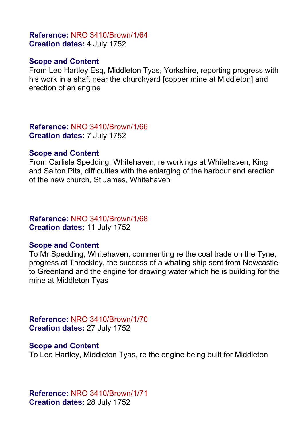# **Reference:** NRO 3410/Brown/1/64 **Creation dates:** 4 July 1752

# **Scope and Content**

From Leo Hartley Esq, Middleton Tyas, Yorkshire, reporting progress with his work in a shaft near the churchyard [copper mine at Middleton] and erection of an engine

**Reference:** NRO 3410/Brown/1/66 **Creation dates:** 7 July 1752

#### **Scope and Content**

From Carlisle Spedding, Whitehaven, re workings at Whitehaven, King and Salton Pits, difficulties with the enlarging of the harbour and erection of the new church, St James, Whitehaven

## **Reference:** NRO 3410/Brown/1/68 **Creation dates:** 11 July 1752

# **Scope and Content**

To Mr Spedding, Whitehaven, commenting re the coal trade on the Tyne, progress at Throckley, the success of a whaling ship sent from Newcastle to Greenland and the engine for drawing water which he is building for the mine at Middleton Tyas

**Reference:** NRO 3410/Brown/1/70 **Creation dates:** 27 July 1752

## **Scope and Content**

To Leo Hartley, Middleton Tyas, re the engine being built for Middleton

**Reference:** NRO 3410/Brown/1/71 **Creation dates:** 28 July 1752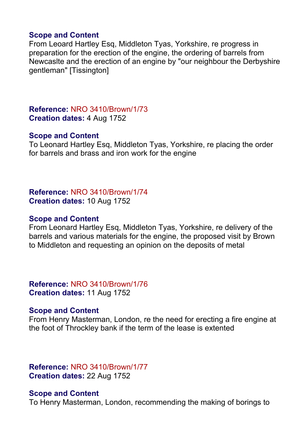## **Scope and Content**

From Leoard Hartley Esq, Middleton Tyas, Yorkshire, re progress in preparation for the erection of the engine, the ordering of barrels from Newcaslte and the erection of an engine by "our neighbour the Derbyshire gentleman" [Tissington]

**Reference:** NRO 3410/Brown/1/73 **Creation dates:** 4 Aug 1752

#### **Scope and Content**

To Leonard Hartley Esq, Middleton Tyas, Yorkshire, re placing the order for barrels and brass and iron work for the engine

**Reference:** NRO 3410/Brown/1/74 **Creation dates:** 10 Aug 1752

#### **Scope and Content**

From Leonard Hartley Esq, Middleton Tyas, Yorkshire, re delivery of the barrels and various materials for the engine, the proposed visit by Brown to Middleton and requesting an opinion on the deposits of metal

**Reference:** NRO 3410/Brown/1/76 **Creation dates:** 11 Aug 1752

## **Scope and Content**

From Henry Masterman, London, re the need for erecting a fire engine at the foot of Throckley bank if the term of the lease is extented

**Reference:** NRO 3410/Brown/1/77 **Creation dates:** 22 Aug 1752

#### **Scope and Content**

To Henry Masterman, London, recommending the making of borings to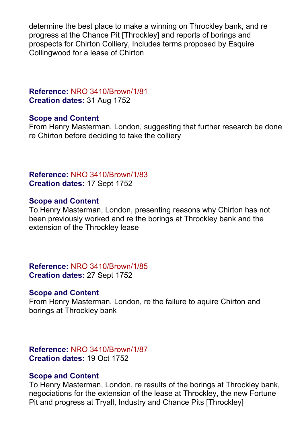determine the best place to make a winning on Throckley bank, and re progress at the Chance Pit [Throckley] and reports of borings and prospects for Chirton Colliery, Includes terms proposed by Esquire Collingwood for a lease of Chirton

# **Reference:** NRO 3410/Brown/1/81 **Creation dates:** 31 Aug 1752

# **Scope and Content**

From Henry Masterman, London, suggesting that further research be done re Chirton before deciding to take the colliery

# **Reference:** NRO 3410/Brown/1/83 **Creation dates:** 17 Sept 1752

## **Scope and Content**

To Henry Masterman, London, presenting reasons why Chirton has not been previously worked and re the borings at Throckley bank and the extension of the Throckley lease

**Reference:** NRO 3410/Brown/1/85 **Creation dates:** 27 Sept 1752

#### **Scope and Content**

From Henry Masterman, London, re the failure to aquire Chirton and borings at Throckley bank

**Reference:** NRO 3410/Brown/1/87 **Creation dates:** 19 Oct 1752

## **Scope and Content**

To Henry Masterman, London, re results of the borings at Throckley bank, negociations for the extension of the lease at Throckley, the new Fortune Pit and progress at Tryall, Industry and Chance Pits [Throckley]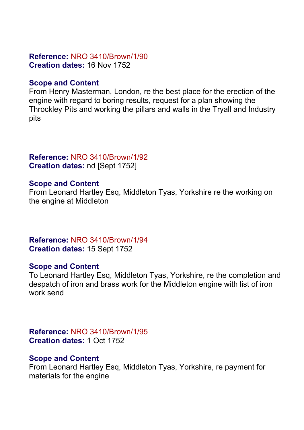# **Reference:** NRO 3410/Brown/1/90 **Creation dates:** 16 Nov 1752

# **Scope and Content**

From Henry Masterman, London, re the best place for the erection of the engine with regard to boring results, request for a plan showing the Throckley Pits and working the pillars and walls in the Tryall and Industry pits

# **Reference:** NRO 3410/Brown/1/92 **Creation dates:** nd [Sept 1752]

# **Scope and Content**

From Leonard Hartley Esq, Middleton Tyas, Yorkshire re the working on the engine at Middleton

**Reference:** NRO 3410/Brown/1/94 **Creation dates:** 15 Sept 1752

# **Scope and Content**

To Leonard Hartley Esq, Middleton Tyas, Yorkshire, re the completion and despatch of iron and brass work for the Middleton engine with list of iron work send

**Reference:** NRO 3410/Brown/1/95 **Creation dates:** 1 Oct 1752

# **Scope and Content**

From Leonard Hartley Esq, Middleton Tyas, Yorkshire, re payment for materials for the engine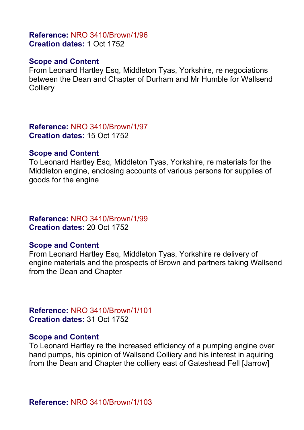## **Reference:** NRO 3410/Brown/1/96 **Creation dates:** 1 Oct 1752

## **Scope and Content**

From Leonard Hartley Esq, Middleton Tyas, Yorkshire, re negociations between the Dean and Chapter of Durham and Mr Humble for Wallsend **Collierv** 

**Reference:** NRO 3410/Brown/1/97 **Creation dates:** 15 Oct 1752

#### **Scope and Content**

To Leonard Hartley Esq, Middleton Tyas, Yorkshire, re materials for the Middleton engine, enclosing accounts of various persons for supplies of goods for the engine

# **Reference:** NRO 3410/Brown/1/99 **Creation dates:** 20 Oct 1752

# **Scope and Content**

From Leonard Hartley Esq, Middleton Tyas, Yorkshire re delivery of engine materials and the prospects of Brown and partners taking Wallsend from the Dean and Chapter

**Reference:** NRO 3410/Brown/1/101 **Creation dates:** 31 Oct 1752

## **Scope and Content**

To Leonard Hartley re the increased efficiency of a pumping engine over hand pumps, his opinion of Wallsend Colliery and his interest in aquiring from the Dean and Chapter the colliery east of Gateshead Fell [Jarrow]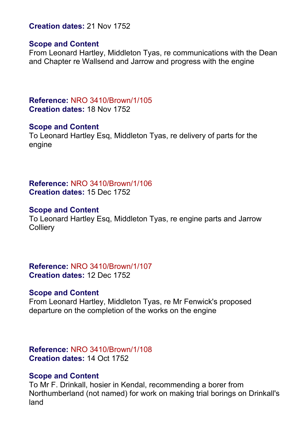**Creation dates:** 21 Nov 1752

## **Scope and Content**

From Leonard Hartley, Middleton Tyas, re communications with the Dean and Chapter re Wallsend and Jarrow and progress with the engine

**Reference:** NRO 3410/Brown/1/105 **Creation dates:** 18 Nov 1752

## **Scope and Content**

To Leonard Hartley Esq, Middleton Tyas, re delivery of parts for the engine

**Reference:** NRO 3410/Brown/1/106 **Creation dates:** 15 Dec 1752

# **Scope and Content**

To Leonard Hartley Esq, Middleton Tyas, re engine parts and Jarrow **Colliery** 

**Reference:** NRO 3410/Brown/1/107 **Creation dates:** 12 Dec 1752

# **Scope and Content**

From Leonard Hartley, Middleton Tyas, re Mr Fenwick's proposed departure on the completion of the works on the engine

**Reference:** NRO 3410/Brown/1/108 **Creation dates:** 14 Oct 1752

# **Scope and Content**

To Mr F. Drinkall, hosier in Kendal, recommending a borer from Northumberland (not named) for work on making trial borings on Drinkall's land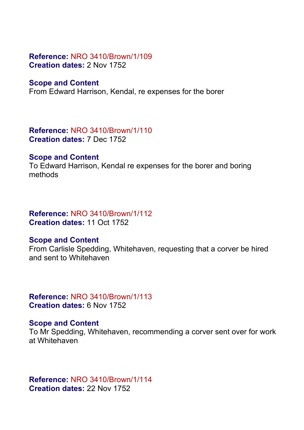# **Reference:** NRO 3410/Brown/1/109 **Creation dates:** 2 Nov 1752

## **Scope and Content**

From Edward Harrison, Kendal, re expenses for the borer

## **Reference:** NRO 3410/Brown/1/110 **Creation dates:** 7 Dec 1752

## **Scope and Content**

To Edward Harrison, Kendal re expenses for the borer and boring methods

## **Reference:** NRO 3410/Brown/1/112 **Creation dates:** 11 Oct 1752

# **Scope and Content**

From Carlisle Spedding, Whitehaven, requesting that a corver be hired and sent to Whitehaven

**Reference:** NRO 3410/Brown/1/113 **Creation dates:** 6 Nov 1752

# **Scope and Content**

To Mr Spedding, Whitehaven, recommending a corver sent over for work at Whitehaven

**Reference:** NRO 3410/Brown/1/114 **Creation dates:** 22 Nov 1752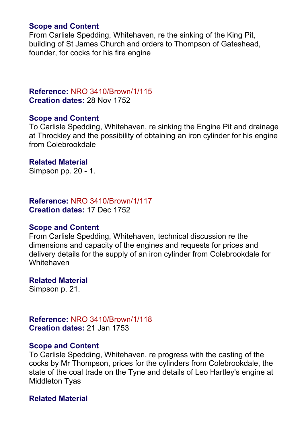# **Scope and Content**

From Carlisle Spedding, Whitehaven, re the sinking of the King Pit, building of St James Church and orders to Thompson of Gateshead, founder, for cocks for his fire engine

## **Reference:** NRO 3410/Brown/1/115 **Creation dates:** 28 Nov 1752

## **Scope and Content**

To Carlisle Spedding, Whitehaven, re sinking the Engine Pit and drainage at Throckley and the possibility of obtaining an iron cylinder for his engine from Colebrookdale

## **Related Material**

Simpson pp. 20 - 1.

# **Reference:** NRO 3410/Brown/1/117

**Creation dates:** 17 Dec 1752

# **Scope and Content**

From Carlisle Spedding, Whitehaven, technical discussion re the dimensions and capacity of the engines and requests for prices and delivery details for the supply of an iron cylinder from Colebrookdale for **Whitehaven** 

# **Related Material**

Simpson p. 21.

# **Reference:** NRO 3410/Brown/1/118 **Creation dates:** 21 Jan 1753

# **Scope and Content**

To Carlisle Spedding, Whitehaven, re progress with the casting of the cocks by Mr Thompson, prices for the cylinders from Colebrookdale, the state of the coal trade on the Tyne and details of Leo Hartley's engine at Middleton Tyas

# **Related Material**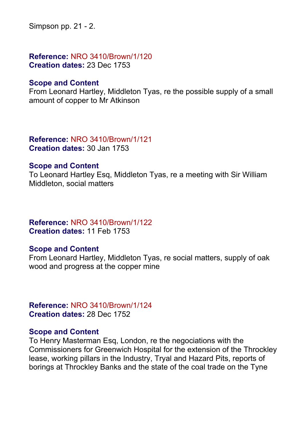Simpson pp. 21 - 2.

**Reference:** NRO 3410/Brown/1/120 **Creation dates:** 23 Dec 1753

## **Scope and Content**

From Leonard Hartley, Middleton Tyas, re the possible supply of a small amount of copper to Mr Atkinson

## **Reference:** NRO 3410/Brown/1/121 **Creation dates:** 30 Jan 1753

## **Scope and Content**

To Leonard Hartley Esq, Middleton Tyas, re a meeting with Sir William Middleton, social matters

# **Reference:** NRO 3410/Brown/1/122 **Creation dates:** 11 Feb 1753

# **Scope and Content**

From Leonard Hartley, Middleton Tyas, re social matters, supply of oak wood and progress at the copper mine

**Reference:** NRO 3410/Brown/1/124 **Creation dates:** 28 Dec 1752

## **Scope and Content**

To Henry Masterman Esq, London, re the negociations with the Commissioners for Greenwich Hospital for the extension of the Throckley lease, working pillars in the Industry, Tryal and Hazard Pits, reports of borings at Throckley Banks and the state of the coal trade on the Tyne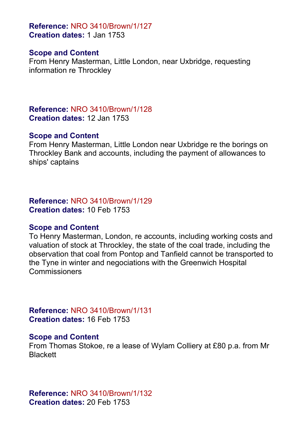**Reference:** NRO 3410/Brown/1/127 **Creation dates:** 1 Jan 1753

## **Scope and Content**

From Henry Masterman, Little London, near Uxbridge, requesting information re Throckley

**Reference:** NRO 3410/Brown/1/128 **Creation dates:** 12 Jan 1753

## **Scope and Content**

From Henry Masterman, Little London near Uxbridge re the borings on Throckley Bank and accounts, including the payment of allowances to ships' captains

**Reference:** NRO 3410/Brown/1/129 **Creation dates:** 10 Feb 1753

# **Scope and Content**

To Henry Masterman, London, re accounts, including working costs and valuation of stock at Throckley, the state of the coal trade, including the observation that coal from Pontop and Tanfield cannot be transported to the Tyne in winter and negociations with the Greenwich Hospital Commissioners

**Reference:** NRO 3410/Brown/1/131 **Creation dates:** 16 Feb 1753

# **Scope and Content**

From Thomas Stokoe, re a lease of Wylam Colliery at £80 p.a. from Mr **Blackett** 

**Reference:** NRO 3410/Brown/1/132 **Creation dates:** 20 Feb 1753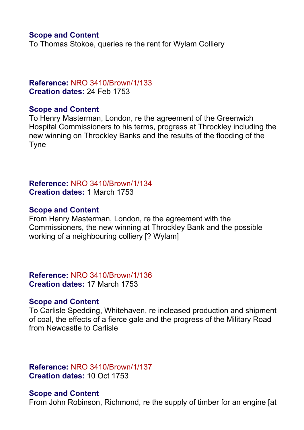# **Scope and Content**

To Thomas Stokoe, queries re the rent for Wylam Colliery

# **Reference:** NRO 3410/Brown/1/133 **Creation dates:** 24 Feb 1753

## **Scope and Content**

To Henry Masterman, London, re the agreement of the Greenwich Hospital Commissioners to his terms, progress at Throckley including the new winning on Throckley Banks and the results of the flooding of the Tyne

# **Reference:** NRO 3410/Brown/1/134 **Creation dates:** 1 March 1753

## **Scope and Content**

From Henry Masterman, London, re the agreement with the Commissioners, the new winning at Throckley Bank and the possible working of a neighbouring colliery [? Wylam]

**Reference:** NRO 3410/Brown/1/136 **Creation dates:** 17 March 1753

## **Scope and Content**

To Carlisle Spedding, Whitehaven, re incleased production and shipment of coal, the effects of a fierce gale and the progress of the Military Road from Newcastle to Carlisle

# **Reference:** NRO 3410/Brown/1/137 **Creation dates:** 10 Oct 1753

## **Scope and Content**

From John Robinson, Richmond, re the supply of timber for an engine [at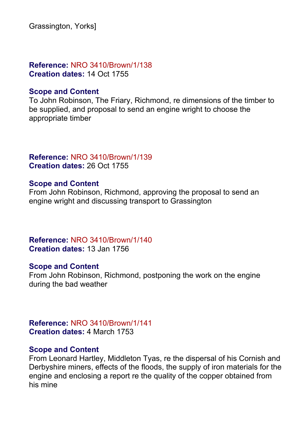Grassington, Yorks]

# **Reference:** NRO 3410/Brown/1/138 **Creation dates:** 14 Oct 1755

## **Scope and Content**

To John Robinson, The Friary, Richmond, re dimensions of the timber to be supplied, and proposal to send an engine wright to choose the appropriate timber

# **Reference:** NRO 3410/Brown/1/139 **Creation dates:** 26 Oct 1755

# **Scope and Content**

From John Robinson, Richmond, approving the proposal to send an engine wright and discussing transport to Grassington

**Reference:** NRO 3410/Brown/1/140 **Creation dates:** 13 Jan 1756

## **Scope and Content**

From John Robinson, Richmond, postponing the work on the engine during the bad weather

**Reference:** NRO 3410/Brown/1/141 **Creation dates:** 4 March 1753

## **Scope and Content**

From Leonard Hartley, Middleton Tyas, re the dispersal of his Cornish and Derbyshire miners, effects of the floods, the supply of iron materials for the engine and enclosing a report re the quality of the copper obtained from his mine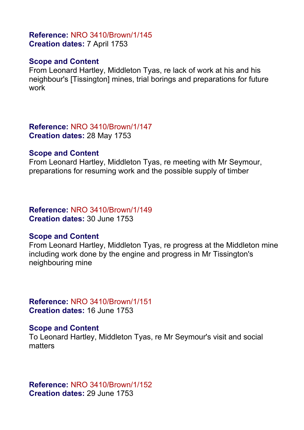## **Reference:** NRO 3410/Brown/1/145 **Creation dates:** 7 April 1753

# **Scope and Content**

From Leonard Hartley, Middleton Tyas, re lack of work at his and his neighbour's [Tissington] mines, trial borings and preparations for future work

**Reference:** NRO 3410/Brown/1/147 **Creation dates:** 28 May 1753

## **Scope and Content**

From Leonard Hartley, Middleton Tyas, re meeting with Mr Seymour, preparations for resuming work and the possible supply of timber

# **Reference:** NRO 3410/Brown/1/149

**Creation dates:** 30 June 1753

# **Scope and Content**

From Leonard Hartley, Middleton Tyas, re progress at the Middleton mine including work done by the engine and progress in Mr Tissington's neighbouring mine

**Reference:** NRO 3410/Brown/1/151 **Creation dates:** 16 June 1753

# **Scope and Content**

To Leonard Hartley, Middleton Tyas, re Mr Seymour's visit and social matters

**Reference:** NRO 3410/Brown/1/152 **Creation dates:** 29 June 1753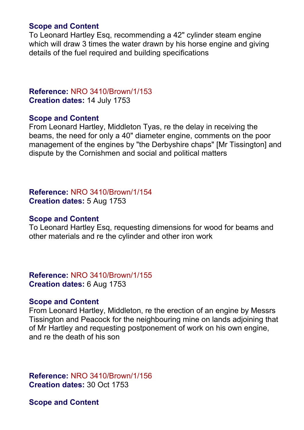# **Scope and Content**

To Leonard Hartley Esq, recommending a 42" cylinder steam engine which will draw 3 times the water drawn by his horse engine and giving details of the fuel required and building specifications

# **Reference:** NRO 3410/Brown/1/153 **Creation dates:** 14 July 1753

## **Scope and Content**

From Leonard Hartley, Middleton Tyas, re the delay in receiving the beams, the need for only a 40" diameter engine, comments on the poor management of the engines by "the Derbyshire chaps" [Mr Tissington] and dispute by the Cornishmen and social and political matters

**Reference:** NRO 3410/Brown/1/154 **Creation dates:** 5 Aug 1753

## **Scope and Content**

To Leonard Hartley Esq, requesting dimensions for wood for beams and other materials and re the cylinder and other iron work

**Reference:** NRO 3410/Brown/1/155 **Creation dates:** 6 Aug 1753

## **Scope and Content**

From Leonard Hartley, Middleton, re the erection of an engine by Messrs Tissington and Peacock for the neighbouring mine on lands adjoining that of Mr Hartley and requesting postponement of work on his own engine, and re the death of his son

**Reference:** NRO 3410/Brown/1/156 **Creation dates:** 30 Oct 1753

**Scope and Content**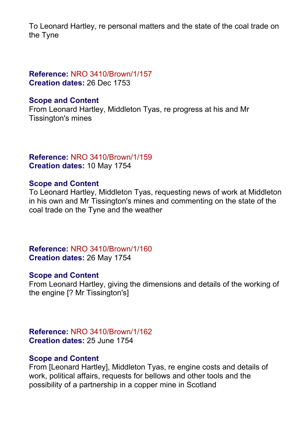To Leonard Hartley, re personal matters and the state of the coal trade on the Tyne

# **Reference:** NRO 3410/Brown/1/157 **Creation dates:** 26 Dec 1753

# **Scope and Content**

From Leonard Hartley, Middleton Tyas, re progress at his and Mr Tissington's mines

# **Reference:** NRO 3410/Brown/1/159 **Creation dates:** 10 May 1754

# **Scope and Content**

To Leonard Hartley, Middleton Tyas, requesting news of work at Middleton in his own and Mr Tissington's mines and commenting on the state of the coal trade on the Tyne and the weather

**Reference:** NRO 3410/Brown/1/160 **Creation dates:** 26 May 1754

# **Scope and Content**

From Leonard Hartley, giving the dimensions and details of the working of the engine [? Mr Tissington's]

**Reference:** NRO 3410/Brown/1/162 **Creation dates:** 25 June 1754

## **Scope and Content**

From [Leonard Hartley], Middleton Tyas, re engine costs and details of work, political affairs, requests for bellows and other tools and the possibility of a partnership in a copper mine in Scotland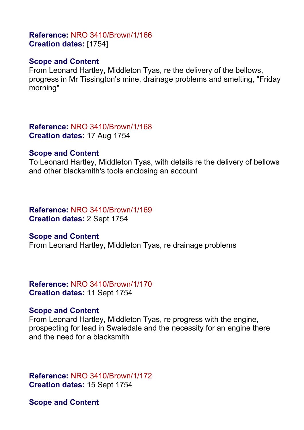# **Reference:** NRO 3410/Brown/1/166 **Creation dates:** [1754]

# **Scope and Content**

From Leonard Hartley, Middleton Tyas, re the delivery of the bellows, progress in Mr Tissington's mine, drainage problems and smelting, "Friday morning"

**Reference:** NRO 3410/Brown/1/168 **Creation dates:** 17 Aug 1754

#### **Scope and Content**

To Leonard Hartley, Middleton Tyas, with details re the delivery of bellows and other blacksmith's tools enclosing an account

## **Reference:** NRO 3410/Brown/1/169 **Creation dates:** 2 Sept 1754

## **Scope and Content**

From Leonard Hartley, Middleton Tyas, re drainage problems

**Reference:** NRO 3410/Brown/1/170 **Creation dates:** 11 Sept 1754

## **Scope and Content**

From Leonard Hartley, Middleton Tyas, re progress with the engine, prospecting for lead in Swaledale and the necessity for an engine there and the need for a blacksmith

**Reference:** NRO 3410/Brown/1/172 **Creation dates:** 15 Sept 1754

**Scope and Content**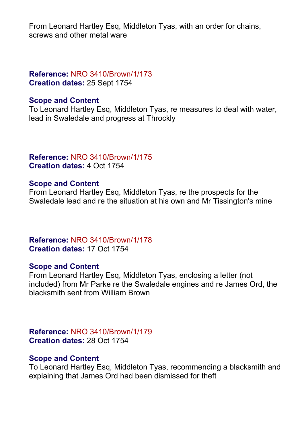From Leonard Hartley Esq, Middleton Tyas, with an order for chains, screws and other metal ware

# **Reference:** NRO 3410/Brown/1/173 **Creation dates:** 25 Sept 1754

# **Scope and Content**

To Leonard Hartley Esq, Middleton Tyas, re measures to deal with water, lead in Swaledale and progress at Throckly

# **Reference:** NRO 3410/Brown/1/175 **Creation dates:** 4 Oct 1754

# **Scope and Content**

From Leonard Hartley Esq, Middleton Tyas, re the prospects for the Swaledale lead and re the situation at his own and Mr Tissington's mine

**Reference:** NRO 3410/Brown/1/178 **Creation dates:** 17 Oct 1754

# **Scope and Content**

From Leonard Hartley Esq, Middleton Tyas, enclosing a letter (not included) from Mr Parke re the Swaledale engines and re James Ord, the blacksmith sent from William Brown

**Reference:** NRO 3410/Brown/1/179 **Creation dates:** 28 Oct 1754

# **Scope and Content**

To Leonard Hartley Esq, Middleton Tyas, recommending a blacksmith and explaining that James Ord had been dismissed for theft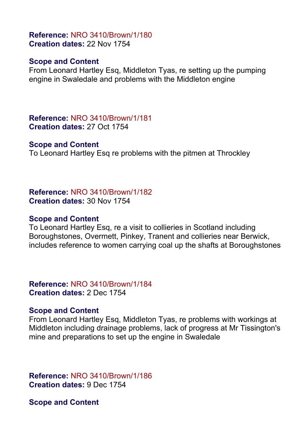# **Reference:** NRO 3410/Brown/1/180 **Creation dates:** 22 Nov 1754

# **Scope and Content**

From Leonard Hartley Esq, Middleton Tyas, re setting up the pumping engine in Swaledale and problems with the Middleton engine

**Reference:** NRO 3410/Brown/1/181 **Creation dates:** 27 Oct 1754

## **Scope and Content**

To Leonard Hartley Esq re problems with the pitmen at Throckley

**Reference:** NRO 3410/Brown/1/182 **Creation dates:** 30 Nov 1754

# **Scope and Content**

To Leonard Hartley Esq, re a visit to collieries in Scotland including Boroughstones, Overmett, Pinkey, Tranent and collieries near Berwick, includes reference to women carrying coal up the shafts at Boroughstones

**Reference:** NRO 3410/Brown/1/184 **Creation dates:** 2 Dec 1754

# **Scope and Content**

From Leonard Hartley Esq, Middleton Tyas, re problems with workings at Middleton including drainage problems, lack of progress at Mr Tissington's mine and preparations to set up the engine in Swaledale

**Reference:** NRO 3410/Brown/1/186 **Creation dates:** 9 Dec 1754

**Scope and Content**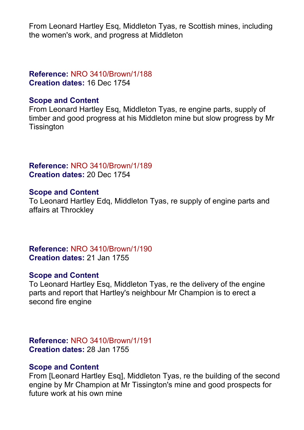From Leonard Hartley Esq, Middleton Tyas, re Scottish mines, including the women's work, and progress at Middleton

# **Reference:** NRO 3410/Brown/1/188 **Creation dates:** 16 Dec 1754

# **Scope and Content**

From Leonard Hartley Esq, Middleton Tyas, re engine parts, supply of timber and good progress at his Middleton mine but slow progress by Mr **Tissington** 

# **Reference:** NRO 3410/Brown/1/189 **Creation dates:** 20 Dec 1754

# **Scope and Content**

To Leonard Hartley Edq, Middleton Tyas, re supply of engine parts and affairs at Throckley

**Reference:** NRO 3410/Brown/1/190 **Creation dates:** 21 Jan 1755

# **Scope and Content**

To Leonard Hartley Esq, Middleton Tyas, re the delivery of the engine parts and report that Hartley's neighbour Mr Champion is to erect a second fire engine

**Reference:** NRO 3410/Brown/1/191 **Creation dates:** 28 Jan 1755

# **Scope and Content**

From [Leonard Hartley Esq], Middleton Tyas, re the building of the second engine by Mr Champion at Mr Tissington's mine and good prospects for future work at his own mine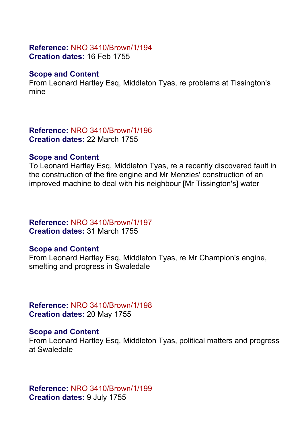## **Reference:** NRO 3410/Brown/1/194 **Creation dates:** 16 Feb 1755

# **Scope and Content**

From Leonard Hartley Esq, Middleton Tyas, re problems at Tissington's mine

#### **Reference:** NRO 3410/Brown/1/196 **Creation dates:** 22 March 1755

# **Scope and Content**

To Leonard Hartley Esq, Middleton Tyas, re a recently discovered fault in the construction of the fire engine and Mr Menzies' construction of an improved machine to deal with his neighbour [Mr Tissington's] water

# **Reference:** NRO 3410/Brown/1/197 **Creation dates:** 31 March 1755

# **Scope and Content**

From Leonard Hartley Esq, Middleton Tyas, re Mr Champion's engine, smelting and progress in Swaledale

**Reference:** NRO 3410/Brown/1/198 **Creation dates:** 20 May 1755

# **Scope and Content**

From Leonard Hartley Esq, Middleton Tyas, political matters and progress at Swaledale

**Reference:** NRO 3410/Brown/1/199 **Creation dates:** 9 July 1755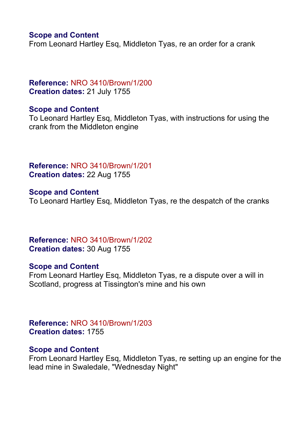# **Scope and Content**

From Leonard Hartley Esq, Middleton Tyas, re an order for a crank

# **Reference:** NRO 3410/Brown/1/200 **Creation dates:** 21 July 1755

# **Scope and Content**

To Leonard Hartley Esq, Middleton Tyas, with instructions for using the crank from the Middleton engine

**Reference:** NRO 3410/Brown/1/201 **Creation dates:** 22 Aug 1755

**Scope and Content** To Leonard Hartley Esq, Middleton Tyas, re the despatch of the cranks

**Reference:** NRO 3410/Brown/1/202 **Creation dates:** 30 Aug 1755

# **Scope and Content**

From Leonard Hartley Esq, Middleton Tyas, re a dispute over a will in Scotland, progress at Tissington's mine and his own

**Reference:** NRO 3410/Brown/1/203 **Creation dates:** 1755

# **Scope and Content**

From Leonard Hartley Esq, Middleton Tyas, re setting up an engine for the lead mine in Swaledale, "Wednesday Night"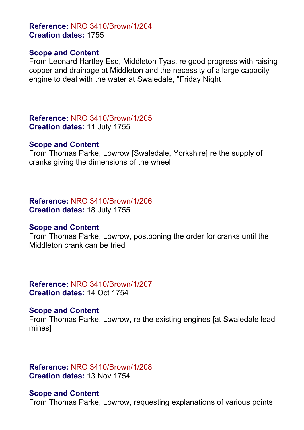**Reference:** NRO 3410/Brown/1/204 **Creation dates:** 1755

#### **Scope and Content**

From Leonard Hartley Esq, Middleton Tyas, re good progress with raising copper and drainage at Middleton and the necessity of a large capacity engine to deal with the water at Swaledale, "Friday Night

**Reference:** NRO 3410/Brown/1/205 **Creation dates:** 11 July 1755

#### **Scope and Content**

From Thomas Parke, Lowrow [Swaledale, Yorkshire] re the supply of cranks giving the dimensions of the wheel

# **Reference:** NRO 3410/Brown/1/206

**Creation dates:** 18 July 1755

## **Scope and Content**

From Thomas Parke, Lowrow, postponing the order for cranks until the Middleton crank can be tried

# **Reference:** NRO 3410/Brown/1/207 **Creation dates:** 14 Oct 1754

## **Scope and Content**

From Thomas Parke, Lowrow, re the existing engines [at Swaledale lead mines]

# **Reference:** NRO 3410/Brown/1/208 **Creation dates:** 13 Nov 1754

## **Scope and Content**

From Thomas Parke, Lowrow, requesting explanations of various points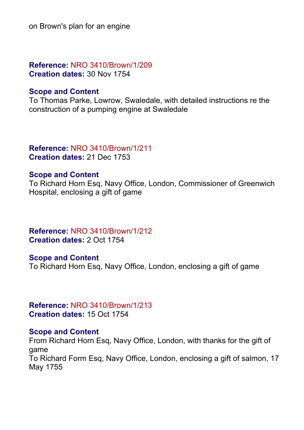on Brown's plan for an engine

**Reference:** NRO 3410/Brown/1/209 **Creation dates:** 30 Nov 1754

## **Scope and Content**

To Thomas Parke, Lowrow, Swaledale, with detailed instructions re the construction of a pumping engine at Swaledale

## **Reference:** NRO 3410/Brown/1/211 **Creation dates:** 21 Dec 1753

# **Scope and Content**

To Richard Horn Esq, Navy Office, London, Commissioner of Greenwich Hospital, enclosing a gift of game

**Reference:** NRO 3410/Brown/1/212 **Creation dates:** 2 Oct 1754

## **Scope and Content**

To Richard Horn Esq, Navy Office, London, enclosing a gift of game

**Reference:** NRO 3410/Brown/1/213 **Creation dates:** 15 Oct 1754

## **Scope and Content**

From Richard Horn Esq, Navy Office, London, with thanks for the gift of game To Richard Form Esq, Navy Office, London, enclosing a gift of salmon, 17 May 1755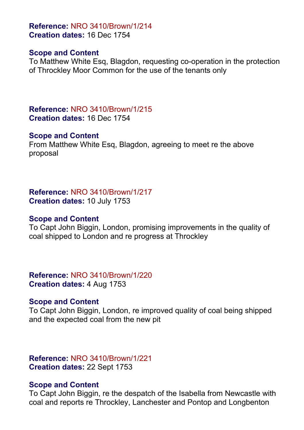**Reference:** NRO 3410/Brown/1/214 **Creation dates:** 16 Dec 1754

## **Scope and Content**

To Matthew White Esq, Blagdon, requesting co-operation in the protection of Throckley Moor Common for the use of the tenants only

**Reference:** NRO 3410/Brown/1/215 **Creation dates:** 16 Dec 1754

## **Scope and Content**

From Matthew White Esq, Blagdon, agreeing to meet re the above proposal

**Reference:** NRO 3410/Brown/1/217 **Creation dates:** 10 July 1753

## **Scope and Content**

To Capt John Biggin, London, promising improvements in the quality of coal shipped to London and re progress at Throckley

**Reference:** NRO 3410/Brown/1/220 **Creation dates:** 4 Aug 1753

# **Scope and Content**

To Capt John Biggin, London, re improved quality of coal being shipped and the expected coal from the new pit

**Reference:** NRO 3410/Brown/1/221 **Creation dates:** 22 Sept 1753

# **Scope and Content**

To Capt John Biggin, re the despatch of the Isabella from Newcastle with coal and reports re Throckley, Lanchester and Pontop and Longbenton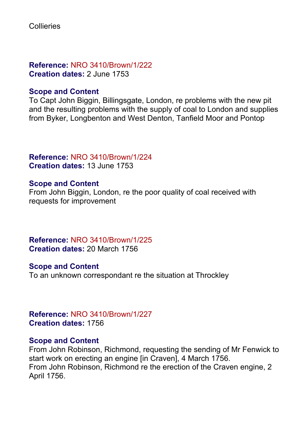**Reference:** NRO 3410/Brown/1/222 **Creation dates:** 2 June 1753

# **Scope and Content**

To Capt John Biggin, Billingsgate, London, re problems with the new pit and the resulting problems with the supply of coal to London and supplies from Byker, Longbenton and West Denton, Tanfield Moor and Pontop

**Reference:** NRO 3410/Brown/1/224 **Creation dates:** 13 June 1753

# **Scope and Content**

From John Biggin, London, re the poor quality of coal received with requests for improvement

**Reference:** NRO 3410/Brown/1/225 **Creation dates:** 20 March 1756

# **Scope and Content**

To an unknown correspondant re the situation at Throckley

**Reference:** NRO 3410/Brown/1/227 **Creation dates:** 1756

# **Scope and Content**

From John Robinson, Richmond, requesting the sending of Mr Fenwick to start work on erecting an engine [in Craven], 4 March 1756. From John Robinson, Richmond re the erection of the Craven engine, 2 April 1756.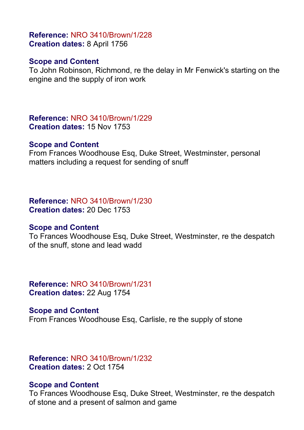# **Reference:** NRO 3410/Brown/1/228 **Creation dates:** 8 April 1756

# **Scope and Content**

To John Robinson, Richmond, re the delay in Mr Fenwick's starting on the engine and the supply of iron work

**Reference:** NRO 3410/Brown/1/229 **Creation dates:** 15 Nov 1753

## **Scope and Content**

From Frances Woodhouse Esq, Duke Street, Westminster, personal matters including a request for sending of snuff

#### **Reference:** NRO 3410/Brown/1/230 **Creation dates:** 20 Dec 1753

# **Scope and Content**

To Frances Woodhouse Esq, Duke Street, Westminster, re the despatch of the snuff, stone and lead wadd

**Reference:** NRO 3410/Brown/1/231 **Creation dates:** 22 Aug 1754

**Scope and Content** From Frances Woodhouse Esq, Carlisle, re the supply of stone

# **Reference:** NRO 3410/Brown/1/232 **Creation dates:** 2 Oct 1754

# **Scope and Content**

To Frances Woodhouse Esq, Duke Street, Westminster, re the despatch of stone and a present of salmon and game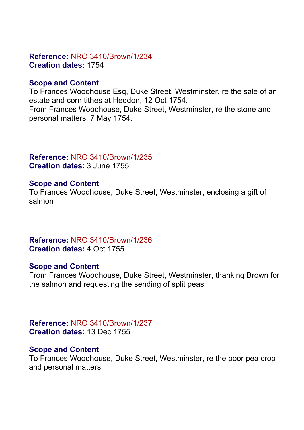# **Reference:** NRO 3410/Brown/1/234 **Creation dates:** 1754

# **Scope and Content**

To Frances Woodhouse Esq, Duke Street, Westminster, re the sale of an estate and corn tithes at Heddon, 12 Oct 1754. From Frances Woodhouse, Duke Street, Westminster, re the stone and personal matters, 7 May 1754.

# **Reference:** NRO 3410/Brown/1/235 **Creation dates:** 3 June 1755

# **Scope and Content**

To Frances Woodhouse, Duke Street, Westminster, enclosing a gift of salmon

**Reference:** NRO 3410/Brown/1/236 **Creation dates:** 4 Oct 1755

# **Scope and Content**

From Frances Woodhouse, Duke Street, Westminster, thanking Brown for the salmon and requesting the sending of split peas

**Reference:** NRO 3410/Brown/1/237 **Creation dates:** 13 Dec 1755

# **Scope and Content**

To Frances Woodhouse, Duke Street, Westminster, re the poor pea crop and personal matters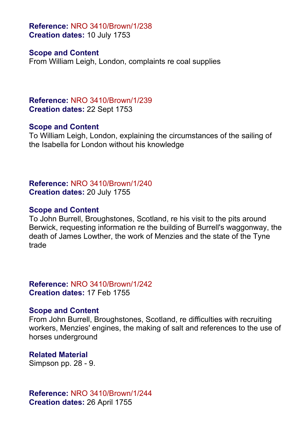**Reference:** NRO 3410/Brown/1/238 **Creation dates:** 10 July 1753

## **Scope and Content**

From William Leigh, London, complaints re coal supplies

**Reference:** NRO 3410/Brown/1/239 **Creation dates:** 22 Sept 1753

## **Scope and Content**

To William Leigh, London, explaining the circumstances of the sailing of the Isabella for London without his knowledge

**Reference:** NRO 3410/Brown/1/240 **Creation dates:** 20 July 1755

# **Scope and Content**

To John Burrell, Broughstones, Scotland, re his visit to the pits around Berwick, requesting information re the building of Burrell's waggonway, the death of James Lowther, the work of Menzies and the state of the Tyne trade

**Reference:** NRO 3410/Brown/1/242 **Creation dates:** 17 Feb 1755

# **Scope and Content**

From John Burrell, Broughstones, Scotland, re difficulties with recruiting workers, Menzies' engines, the making of salt and references to the use of horses underground

**Related Material** Simpson pp. 28 - 9.

**Reference:** NRO 3410/Brown/1/244 **Creation dates:** 26 April 1755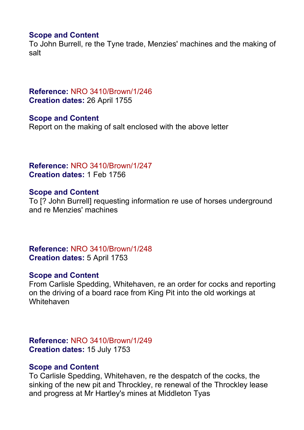# **Scope and Content**

To John Burrell, re the Tyne trade, Menzies' machines and the making of salt

# **Reference:** NRO 3410/Brown/1/246 **Creation dates:** 26 April 1755

**Scope and Content** Report on the making of salt enclosed with the above letter

# **Reference:** NRO 3410/Brown/1/247 **Creation dates:** 1 Feb 1756

# **Scope and Content**

To [? John Burrell] requesting information re use of horses underground and re Menzies' machines

**Reference:** NRO 3410/Brown/1/248 **Creation dates:** 5 April 1753

# **Scope and Content**

From Carlisle Spedding, Whitehaven, re an order for cocks and reporting on the driving of a board race from King Pit into the old workings at **Whitehaven** 

**Reference:** NRO 3410/Brown/1/249 **Creation dates:** 15 July 1753

# **Scope and Content**

To Carlisle Spedding, Whitehaven, re the despatch of the cocks, the sinking of the new pit and Throckley, re renewal of the Throckley lease and progress at Mr Hartley's mines at Middleton Tyas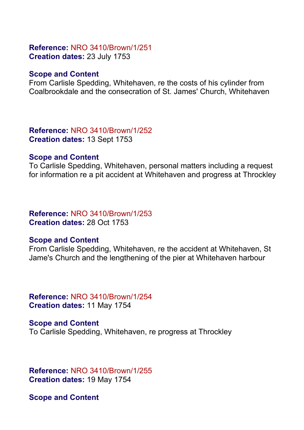# **Reference:** NRO 3410/Brown/1/251 **Creation dates:** 23 July 1753

# **Scope and Content**

From Carlisle Spedding, Whitehaven, re the costs of his cylinder from Coalbrookdale and the consecration of St. James' Church, Whitehaven

**Reference:** NRO 3410/Brown/1/252 **Creation dates:** 13 Sept 1753

## **Scope and Content**

To Carlisle Spedding, Whitehaven, personal matters including a request for information re a pit accident at Whitehaven and progress at Throckley

# **Reference:** NRO 3410/Brown/1/253 **Creation dates:** 28 Oct 1753

# **Scope and Content**

From Carlisle Spedding, Whitehaven, re the accident at Whitehaven, St Jame's Church and the lengthening of the pier at Whitehaven harbour

**Reference:** NRO 3410/Brown/1/254 **Creation dates:** 11 May 1754

**Scope and Content** To Carlisle Spedding, Whitehaven, re progress at Throckley

**Reference:** NRO 3410/Brown/1/255 **Creation dates:** 19 May 1754

**Scope and Content**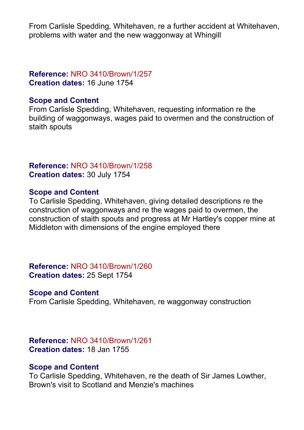From Carlisle Spedding, Whitehaven, re a further accident at Whitehaven, problems with water and the new waggonway at Whingill

# **Reference:** NRO 3410/Brown/1/257 **Creation dates:** 16 June 1754

# **Scope and Content**

From Carlisle Spedding, Whitehaven, requesting information re the building of waggonways, wages paid to overmen and the construction of staith spouts

## **Reference:** NRO 3410/Brown/1/258 **Creation dates:** 30 July 1754

# **Scope and Content**

To Carlisle Spedding, Whitehaven, giving detailed descriptions re the construction of waggonways and re the wages paid to overmen, the construction of staith spouts and progress at Mr Hartley's copper mine at Middleton with dimensions of the engine employed there

**Reference:** NRO 3410/Brown/1/260 **Creation dates:** 25 Sept 1754

# **Scope and Content**

From Carlisle Spedding, Whitehaven, re waggonway construction

# **Reference:** NRO 3410/Brown/1/261 **Creation dates:** 18 Jan 1755

# **Scope and Content**

To Carlisle Spedding, Whitehaven, re the death of Sir James Lowther, Brown's visit to Scotland and Menzie's machines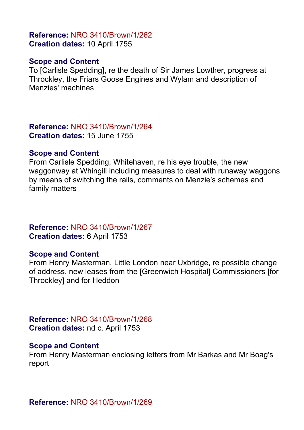## **Reference:** NRO 3410/Brown/1/262 **Creation dates:** 10 April 1755

## **Scope and Content**

To [Carlisle Spedding], re the death of Sir James Lowther, progress at Throckley, the Friars Goose Engines and Wylam and description of Menzies' machines

**Reference:** NRO 3410/Brown/1/264 **Creation dates:** 15 June 1755

#### **Scope and Content**

From Carlisle Spedding, Whitehaven, re his eye trouble, the new waggonway at Whingill including measures to deal with runaway waggons by means of switching the rails, comments on Menzie's schemes and family matters

# **Reference:** NRO 3410/Brown/1/267 **Creation dates:** 6 April 1753

## **Scope and Content**

From Henry Masterman, Little London near Uxbridge, re possible change of address, new leases from the [Greenwich Hospital] Commissioners [for Throckley] and for Heddon

**Reference:** NRO 3410/Brown/1/268 **Creation dates:** nd c. April 1753

## **Scope and Content**

From Henry Masterman enclosing letters from Mr Barkas and Mr Boag's report

**Reference:** NRO 3410/Brown/1/269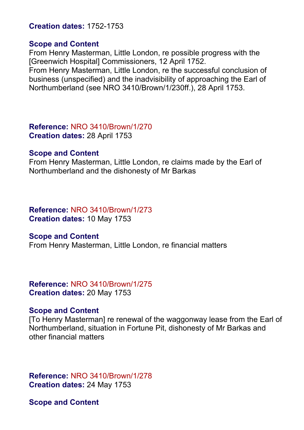## **Creation dates:** 1752-1753

#### **Scope and Content**

From Henry Masterman, Little London, re possible progress with the [Greenwich Hospital] Commissioners, 12 April 1752.

From Henry Masterman, Little London, re the successful conclusion of business (unspecified) and the inadvisibility of approaching the Earl of Northumberland (see NRO 3410/Brown/1/230ff.), 28 April 1753.

**Reference:** NRO 3410/Brown/1/270 **Creation dates:** 28 April 1753

#### **Scope and Content**

From Henry Masterman, Little London, re claims made by the Earl of Northumberland and the dishonesty of Mr Barkas

# **Reference:** NRO 3410/Brown/1/273

**Creation dates:** 10 May 1753

## **Scope and Content**

From Henry Masterman, Little London, re financial matters

**Reference:** NRO 3410/Brown/1/275 **Creation dates:** 20 May 1753

## **Scope and Content**

[To Henry Masterman] re renewal of the waggonway lease from the Earl of Northumberland, situation in Fortune Pit, dishonesty of Mr Barkas and other financial matters

**Reference:** NRO 3410/Brown/1/278 **Creation dates:** 24 May 1753

**Scope and Content**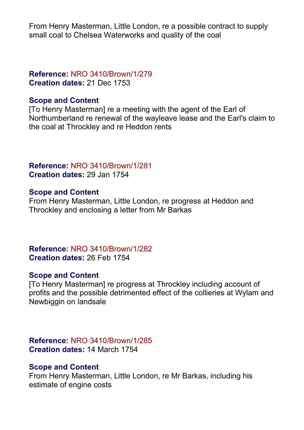From Henry Masterman, Little London, re a possible contract to supply small coal to Chelsea Waterworks and quality of the coal

# **Reference:** NRO 3410/Brown/1/279 **Creation dates:** 21 Dec 1753

# **Scope and Content**

[To Henry Masterman] re a meeting with the agent of the Earl of Northumberland re renewal of the wayleave lease and the Earl's claim to the coal at Throckley and re Heddon rents

# **Reference:** NRO 3410/Brown/1/281 **Creation dates:** 29 Jan 1754

# **Scope and Content**

From Henry Masterman, Little London, re progress at Heddon and Throckley and enclosing a letter from Mr Barkas

# **Reference:** NRO 3410/Brown/1/282 **Creation dates:** 26 Feb 1754

# **Scope and Content**

[To Henry Masterman] re progress at Throckley including account of profits and the possible detrimented effect of the collieries at Wylam and Newbiggin on landsale

# **Reference:** NRO 3410/Brown/1/285 **Creation dates:** 14 March 1754

# **Scope and Content**

From Henry Masterman, Little London, re Mr Barkas, including his estimate of engine costs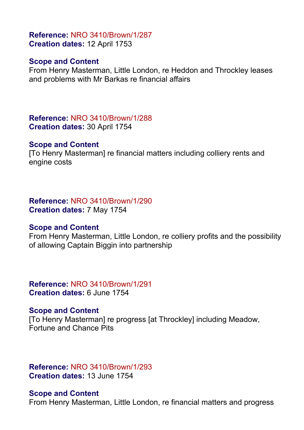# **Reference:** NRO 3410/Brown/1/287 **Creation dates:** 12 April 1753

# **Scope and Content**

From Henry Masterman, Little London, re Heddon and Throckley leases and problems with Mr Barkas re financial affairs

**Reference:** NRO 3410/Brown/1/288 **Creation dates:** 30 April 1754

## **Scope and Content**

[To Henry Masterman] re financial matters including colliery rents and engine costs

## **Reference:** NRO 3410/Brown/1/290 **Creation dates:** 7 May 1754

# **Scope and Content**

From Henry Masterman, Little London, re colliery profits and the possibility of allowing Captain Biggin into partnership

# **Reference:** NRO 3410/Brown/1/291 **Creation dates:** 6 June 1754

# **Scope and Content**

[To Henry Masterman] re progress [at Throckley] including Meadow, Fortune and Chance Pits

# **Reference:** NRO 3410/Brown/1/293 **Creation dates:** 13 June 1754

# **Scope and Content**

From Henry Masterman, Little London, re financial matters and progress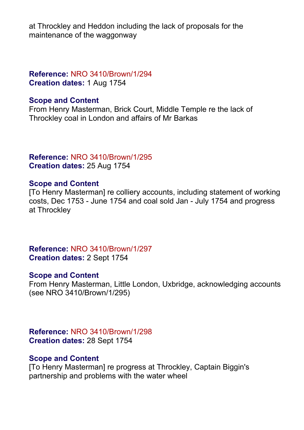at Throckley and Heddon including the lack of proposals for the maintenance of the waggonway

# **Reference:** NRO 3410/Brown/1/294 **Creation dates:** 1 Aug 1754

# **Scope and Content**

From Henry Masterman, Brick Court, Middle Temple re the lack of Throckley coal in London and affairs of Mr Barkas

**Reference:** NRO 3410/Brown/1/295 **Creation dates:** 25 Aug 1754

# **Scope and Content**

[To Henry Masterman] re colliery accounts, including statement of working costs, Dec 1753 - June 1754 and coal sold Jan - July 1754 and progress at Throckley

**Reference:** NRO 3410/Brown/1/297 **Creation dates:** 2 Sept 1754

# **Scope and Content**

From Henry Masterman, Little London, Uxbridge, acknowledging accounts (see NRO 3410/Brown/1/295)

**Reference:** NRO 3410/Brown/1/298 **Creation dates:** 28 Sept 1754

# **Scope and Content**

[To Henry Masterman] re progress at Throckley, Captain Biggin's partnership and problems with the water wheel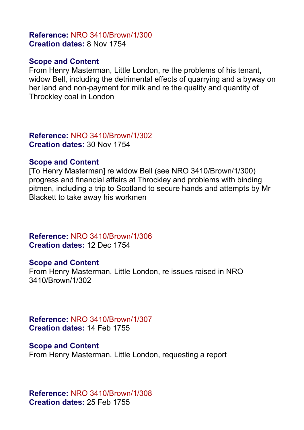# **Reference:** NRO 3410/Brown/1/300 **Creation dates:** 8 Nov 1754

# **Scope and Content**

From Henry Masterman, Little London, re the problems of his tenant, widow Bell, including the detrimental effects of quarrying and a byway on her land and non-payment for milk and re the quality and quantity of Throckley coal in London

**Reference:** NRO 3410/Brown/1/302 **Creation dates:** 30 Nov 1754

## **Scope and Content**

[To Henry Masterman] re widow Bell (see NRO 3410/Brown/1/300) progress and financial affairs at Throckley and problems with binding pitmen, including a trip to Scotland to secure hands and attempts by Mr Blackett to take away his workmen

**Reference:** NRO 3410/Brown/1/306 **Creation dates:** 12 Dec 1754

# **Scope and Content**

From Henry Masterman, Little London, re issues raised in NRO 3410/Brown/1/302

**Reference:** NRO 3410/Brown/1/307 **Creation dates:** 14 Feb 1755

## **Scope and Content**

From Henry Masterman, Little London, requesting a report

**Reference:** NRO 3410/Brown/1/308 **Creation dates:** 25 Feb 1755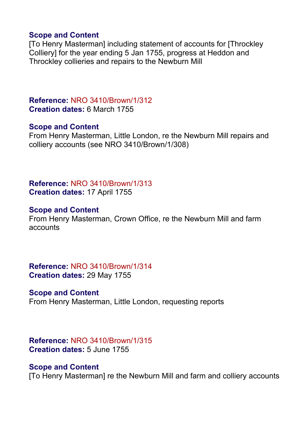# **Scope and Content**

[To Henry Masterman] including statement of accounts for [Throckley Colliery] for the year ending 5 Jan 1755, progress at Heddon and Throckley collieries and repairs to the Newburn Mill

**Reference:** NRO 3410/Brown/1/312 **Creation dates:** 6 March 1755

## **Scope and Content**

From Henry Masterman, Little London, re the Newburn Mill repairs and colliery accounts (see NRO 3410/Brown/1/308)

**Reference:** NRO 3410/Brown/1/313 **Creation dates:** 17 April 1755

# **Scope and Content**

From Henry Masterman, Crown Office, re the Newburn Mill and farm accounts

**Reference:** NRO 3410/Brown/1/314 **Creation dates:** 29 May 1755

# **Scope and Content**

From Henry Masterman, Little London, requesting reports

## **Reference:** NRO 3410/Brown/1/315 **Creation dates:** 5 June 1755

# **Scope and Content**

[To Henry Masterman] re the Newburn Mill and farm and colliery accounts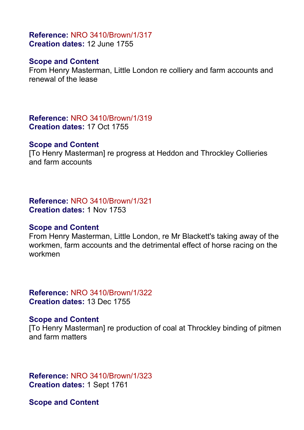# **Reference:** NRO 3410/Brown/1/317 **Creation dates:** 12 June 1755

# **Scope and Content**

From Henry Masterman, Little London re colliery and farm accounts and renewal of the lease

**Reference:** NRO 3410/Brown/1/319 **Creation dates:** 17 Oct 1755

#### **Scope and Content**

[To Henry Masterman] re progress at Heddon and Throckley Collieries and farm accounts

#### **Reference:** NRO 3410/Brown/1/321 **Creation dates:** 1 Nov 1753

## **Scope and Content**

From Henry Masterman, Little London, re Mr Blackett's taking away of the workmen, farm accounts and the detrimental effect of horse racing on the workmen

**Reference:** NRO 3410/Brown/1/322 **Creation dates:** 13 Dec 1755

## **Scope and Content**

[To Henry Masterman] re production of coal at Throckley binding of pitmen and farm matters

**Reference:** NRO 3410/Brown/1/323 **Creation dates:** 1 Sept 1761

**Scope and Content**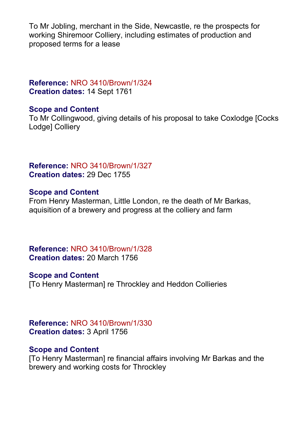To Mr Jobling, merchant in the Side, Newcastle, re the prospects for working Shiremoor Colliery, including estimates of production and proposed terms for a lease

**Reference:** NRO 3410/Brown/1/324 **Creation dates:** 14 Sept 1761

# **Scope and Content**

To Mr Collingwood, giving details of his proposal to take Coxlodge [Cocks Lodge] Colliery

# **Reference:** NRO 3410/Brown/1/327 **Creation dates:** 29 Dec 1755

# **Scope and Content**

From Henry Masterman, Little London, re the death of Mr Barkas, aquisition of a brewery and progress at the colliery and farm

**Reference:** NRO 3410/Brown/1/328 **Creation dates:** 20 March 1756

## **Scope and Content**

[To Henry Masterman] re Throckley and Heddon Collieries

**Reference:** NRO 3410/Brown/1/330 **Creation dates:** 3 April 1756

## **Scope and Content**

[To Henry Masterman] re financial affairs involving Mr Barkas and the brewery and working costs for Throckley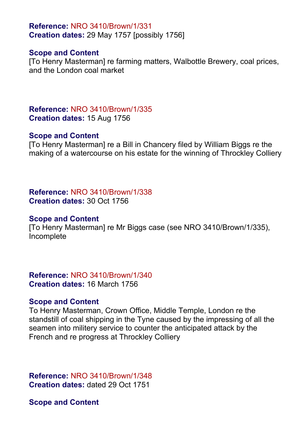**Reference:** NRO 3410/Brown/1/331 **Creation dates:** 29 May 1757 [possibly 1756]

## **Scope and Content**

[To Henry Masterman] re farming matters, Walbottle Brewery, coal prices, and the London coal market

**Reference:** NRO 3410/Brown/1/335 **Creation dates:** 15 Aug 1756

#### **Scope and Content**

[To Henry Masterman] re a Bill in Chancery filed by William Biggs re the making of a watercourse on his estate for the winning of Throckley Colliery

**Reference:** NRO 3410/Brown/1/338 **Creation dates:** 30 Oct 1756

#### **Scope and Content**

[To Henry Masterman] re Mr Biggs case (see NRO 3410/Brown/1/335), Incomplete

**Reference:** NRO 3410/Brown/1/340 **Creation dates:** 16 March 1756

#### **Scope and Content**

To Henry Masterman, Crown Office, Middle Temple, London re the standstill of coal shipping in the Tyne caused by the impressing of all the seamen into militery service to counter the anticipated attack by the French and re progress at Throckley Colliery

**Reference:** NRO 3410/Brown/1/348 **Creation dates:** dated 29 Oct 1751

**Scope and Content**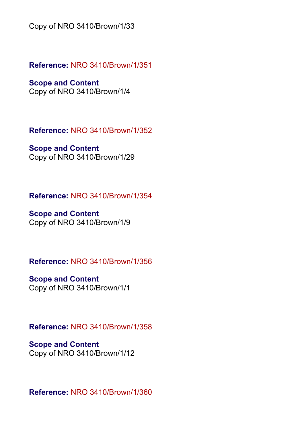Copy of NRO 3410/Brown/1/33

**Reference:** NRO 3410/Brown/1/351

**Scope and Content** Copy of NRO 3410/Brown/1/4

**Reference:** NRO 3410/Brown/1/352

**Scope and Content** Copy of NRO 3410/Brown/1/29

**Reference:** NRO 3410/Brown/1/354

**Scope and Content** Copy of NRO 3410/Brown/1/9

**Reference:** NRO 3410/Brown/1/356

**Scope and Content** Copy of NRO 3410/Brown/1/1

**Reference:** NRO 3410/Brown/1/358

**Scope and Content** Copy of NRO 3410/Brown/1/12

**Reference:** NRO 3410/Brown/1/360